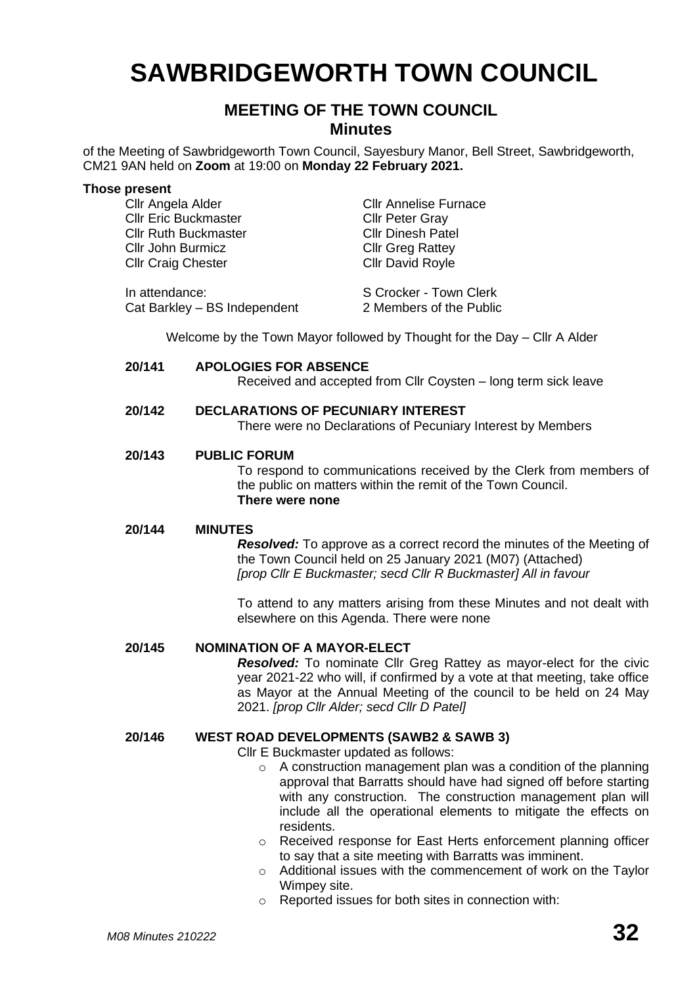# **SAWBRIDGEWORTH TOWN COUNCIL**

# **MEETING OF THE TOWN COUNCIL Minutes**

of the Meeting of Sawbridgeworth Town Council, Sayesbury Manor, Bell Street, Sawbridgeworth, CM21 9AN held on **Zoom** at 19:00 on **Monday 22 February 2021.**

#### **Those present**

Cllr Angela Alder Cllr Annelise Furnace **Cllr Eric Buckmaster Cllr Peter Gray** Cllr Ruth Buckmaster Cllr Dinesh Patel Cllr John Burmicz Cllr Greg Rattey Cllr Craig Chester Cllr David Royle

In attendance: S Crocker - Town Clerk Cat Barkley – BS Independent 2 Members of the Public

Welcome by the Town Mayor followed by Thought for the Day – Cllr A Alder

**20/141 APOLOGIES FOR ABSENCE** Received and accepted from Cllr Coysten – long term sick leave

# **20/142 DECLARATIONS OF PECUNIARY INTEREST**

There were no Declarations of Pecuniary Interest by Members

# **20/143 PUBLIC FORUM**

To respond to communications received by the Clerk from members of the public on matters within the remit of the Town Council. **There were none**

# **20/144 MINUTES**

*Resolved:* To approve as a correct record the minutes of the Meeting of the Town Council held on 25 January 2021 (M07) (Attached) *[prop Cllr E Buckmaster; secd Cllr R Buckmaster] All in favour*

To attend to any matters arising from these Minutes and not dealt with elsewhere on this Agenda. There were none

# **20/145 NOMINATION OF A MAYOR-ELECT**

*Resolved:* To nominate Cllr Greg Rattey as mayor-elect for the civic year 2021-22 who will, if confirmed by a vote at that meeting, take office as Mayor at the Annual Meeting of the council to be held on 24 May 2021. *[prop Cllr Alder; secd Cllr D Patel]*

# **20/146 WEST ROAD DEVELOPMENTS (SAWB2 & SAWB 3)**

Cllr E Buckmaster updated as follows:

- o A construction management plan was a condition of the planning approval that Barratts should have had signed off before starting with any construction. The construction management plan will include all the operational elements to mitigate the effects on residents.
- o Received response for East Herts enforcement planning officer to say that a site meeting with Barratts was imminent.
- o Additional issues with the commencement of work on the Taylor Wimpey site.
- o Reported issues for both sites in connection with: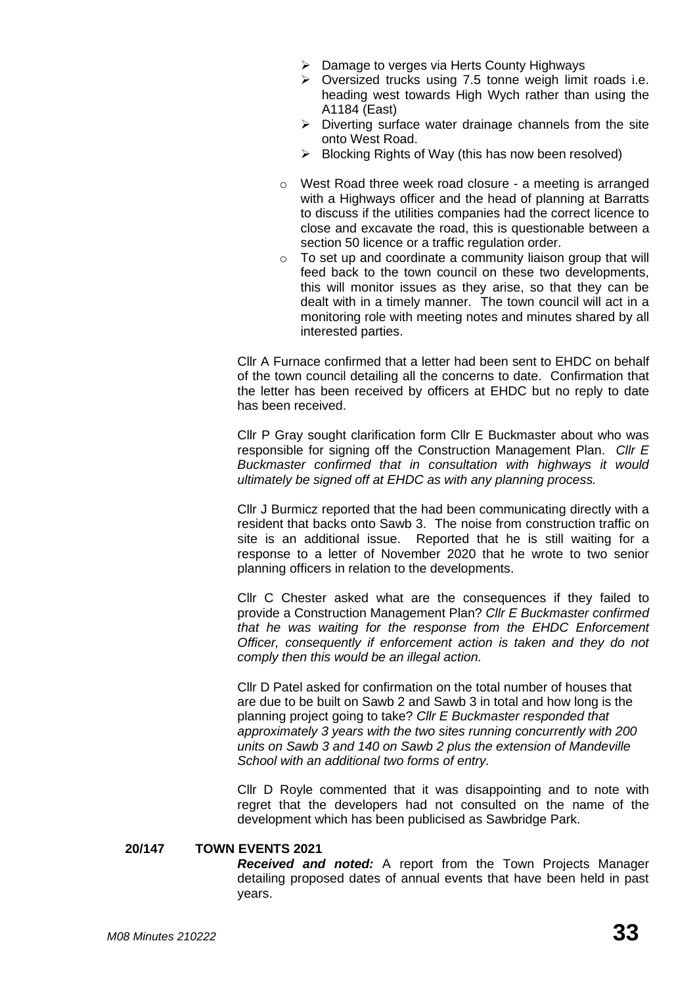- ➢ Damage to verges via Herts County Highways
- ➢ Oversized trucks using 7.5 tonne weigh limit roads i.e. heading west towards High Wych rather than using the A1184 (East)
- ➢ Diverting surface water drainage channels from the site onto West Road.
- ➢ Blocking Rights of Way (this has now been resolved)
- o West Road three week road closure a meeting is arranged with a Highways officer and the head of planning at Barratts to discuss if the utilities companies had the correct licence to close and excavate the road, this is questionable between a section 50 licence or a traffic regulation order.
- $\circ$  To set up and coordinate a community liaison group that will feed back to the town council on these two developments, this will monitor issues as they arise, so that they can be dealt with in a timely manner. The town council will act in a monitoring role with meeting notes and minutes shared by all interested parties.

Cllr A Furnace confirmed that a letter had been sent to EHDC on behalf of the town council detailing all the concerns to date. Confirmation that the letter has been received by officers at EHDC but no reply to date has been received.

Cllr P Gray sought clarification form Cllr E Buckmaster about who was responsible for signing off the Construction Management Plan. *Cllr E Buckmaster confirmed that in consultation with highways it would ultimately be signed off at EHDC as with any planning process.* 

Cllr J Burmicz reported that the had been communicating directly with a resident that backs onto Sawb 3. The noise from construction traffic on site is an additional issue. Reported that he is still waiting for a response to a letter of November 2020 that he wrote to two senior planning officers in relation to the developments.

Cllr C Chester asked what are the consequences if they failed to provide a Construction Management Plan? *Cllr E Buckmaster confirmed that he was waiting for the response from the EHDC Enforcement Officer, consequently if enforcement action is taken and they do not comply then this would be an illegal action.* 

Cllr D Patel asked for confirmation on the total number of houses that are due to be built on Sawb 2 and Sawb 3 in total and how long is the planning project going to take? *Cllr E Buckmaster responded that approximately 3 years with the two sites running concurrently with 200 units on Sawb 3 and 140 on Sawb 2 plus the extension of Mandeville School with an additional two forms of entry.* 

Cllr D Royle commented that it was disappointing and to note with regret that the developers had not consulted on the name of the development which has been publicised as Sawbridge Park.

# **20/147 TOWN EVENTS 2021**

*Received and noted:* A report from the Town Projects Manager detailing proposed dates of annual events that have been held in past years.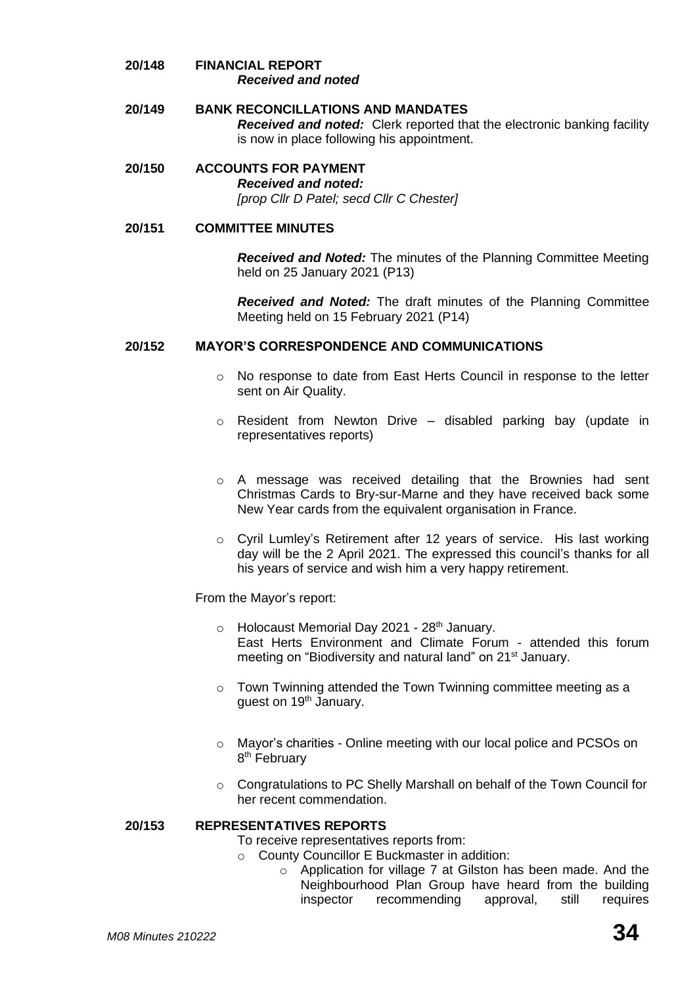- **20/148 FINANCIAL REPORT** *Received and noted*
- **20/149 BANK RECONCILLATIONS AND MANDATES** *Received and noted:* Clerk reported that the electronic banking facility is now in place following his appointment.
- **20/150 ACCOUNTS FOR PAYMENT** *Received and noted:*

*[prop Cllr D Patel; secd Cllr C Chester]*

# **20/151 COMMITTEE MINUTES**

*Received and Noted:* The minutes of the Planning Committee Meeting held on 25 January 2021 (P13)

*Received and Noted:* The draft minutes of the Planning Committee Meeting held on 15 February 2021 (P14)

# **20/152 MAYOR'S CORRESPONDENCE AND COMMUNICATIONS**

- o No response to date from East Herts Council in response to the letter sent on Air Quality.
- o Resident from Newton Drive disabled parking bay (update in representatives reports)
- o A message was received detailing that the Brownies had sent Christmas Cards to Bry-sur-Marne and they have received back some New Year cards from the equivalent organisation in France.
- o Cyril Lumley's Retirement after 12 years of service. His last working day will be the 2 April 2021. The expressed this council's thanks for all his years of service and wish him a very happy retirement.

From the Mayor's report:

- $\circ$  Holocaust Memorial Day 2021 28<sup>th</sup> January. East Herts Environment and Climate Forum - attended this forum meeting on "Biodiversity and natural land" on 21<sup>st</sup> January.
- o Town Twinning attended the Town Twinning committee meeting as a guest on 19<sup>th</sup> January.
- o Mayor's charities Online meeting with our local police and PCSOs on 8<sup>th</sup> February
- o Congratulations to PC Shelly Marshall on behalf of the Town Council for her recent commendation.

# **20/153 REPRESENTATIVES REPORTS**

To receive representatives reports from:

- o County Councillor E Buckmaster in addition:
	- o Application for village 7 at Gilston has been made. And the Neighbourhood Plan Group have heard from the building inspector recommending approval, still requires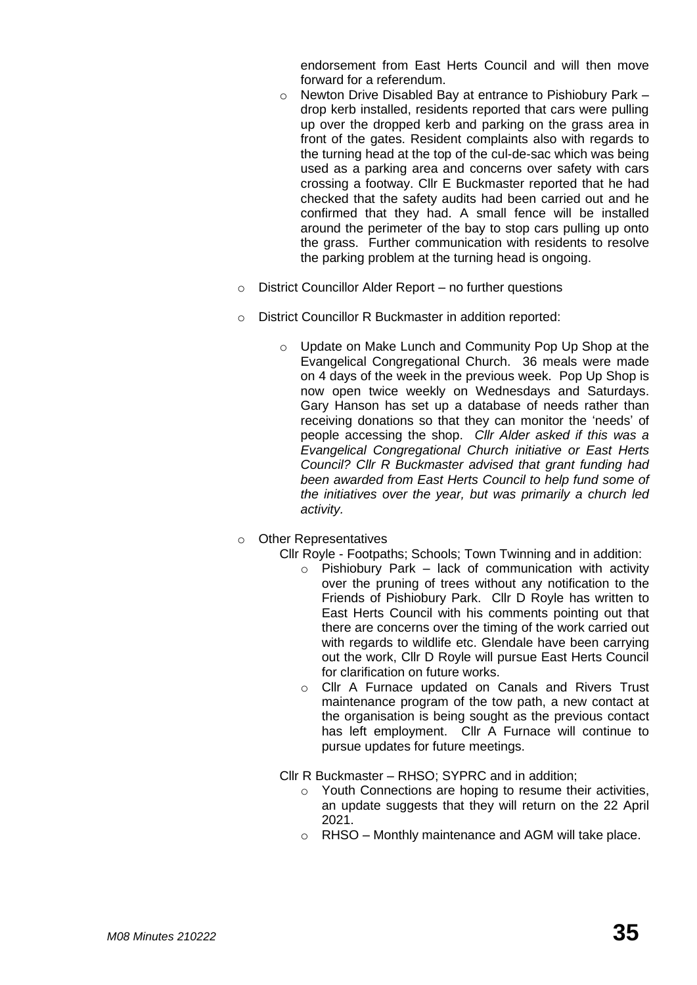endorsement from East Herts Council and will then move forward for a referendum.

- o Newton Drive Disabled Bay at entrance to Pishiobury Park drop kerb installed, residents reported that cars were pulling up over the dropped kerb and parking on the grass area in front of the gates. Resident complaints also with regards to the turning head at the top of the cul-de-sac which was being used as a parking area and concerns over safety with cars crossing a footway. Cllr E Buckmaster reported that he had checked that the safety audits had been carried out and he confirmed that they had. A small fence will be installed around the perimeter of the bay to stop cars pulling up onto the grass. Further communication with residents to resolve the parking problem at the turning head is ongoing.
- o District Councillor Alder Report no further questions
- o District Councillor R Buckmaster in addition reported:
	- o Update on Make Lunch and Community Pop Up Shop at the Evangelical Congregational Church. 36 meals were made on 4 days of the week in the previous week. Pop Up Shop is now open twice weekly on Wednesdays and Saturdays. Gary Hanson has set up a database of needs rather than receiving donations so that they can monitor the 'needs' of people accessing the shop. *Cllr Alder asked if this was a Evangelical Congregational Church initiative or East Herts Council? Cllr R Buckmaster advised that grant funding had been awarded from East Herts Council to help fund some of the initiatives over the year, but was primarily a church led activity.*
- o Other Representatives

Cllr Royle - Footpaths; Schools; Town Twinning and in addition:

- $\circ$  Pishiobury Park lack of communication with activity over the pruning of trees without any notification to the Friends of Pishiobury Park. Cllr D Royle has written to East Herts Council with his comments pointing out that there are concerns over the timing of the work carried out with regards to wildlife etc. Glendale have been carrying out the work, Cllr D Royle will pursue East Herts Council for clarification on future works.
- o Cllr A Furnace updated on Canals and Rivers Trust maintenance program of the tow path, a new contact at the organisation is being sought as the previous contact has left employment. Cllr A Furnace will continue to pursue updates for future meetings.

Cllr R Buckmaster *–* RHSO; SYPRC and in addition;

- o Youth Connections are hoping to resume their activities, an update suggests that they will return on the 22 April 2021.
- o RHSO Monthly maintenance and AGM will take place.